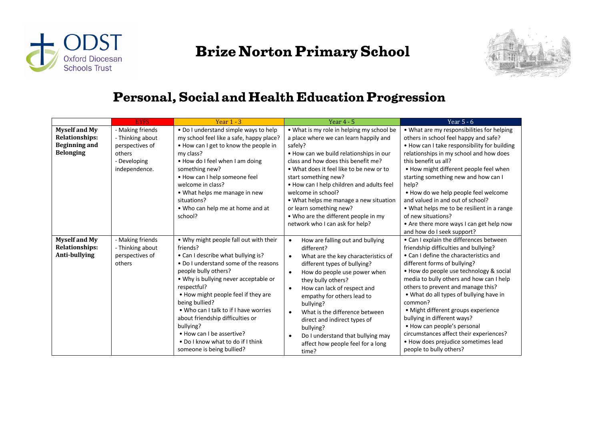



#### **Personal, Social and Health Education Progression**

|                                                                                           | <b>EYFS</b>                                                                                        | Year $1 - 3$                                                                                                                                                                                                                                                                                                                                                                                                                                                        | Year $4 - 5$                                                                                                                                                                                                                                                                                                                                                                                                                                                                                          | Year $5 - 6$                                                                                                                                                                                                                                                                                                                                                                                                                                                                                                                                                    |  |
|-------------------------------------------------------------------------------------------|----------------------------------------------------------------------------------------------------|---------------------------------------------------------------------------------------------------------------------------------------------------------------------------------------------------------------------------------------------------------------------------------------------------------------------------------------------------------------------------------------------------------------------------------------------------------------------|-------------------------------------------------------------------------------------------------------------------------------------------------------------------------------------------------------------------------------------------------------------------------------------------------------------------------------------------------------------------------------------------------------------------------------------------------------------------------------------------------------|-----------------------------------------------------------------------------------------------------------------------------------------------------------------------------------------------------------------------------------------------------------------------------------------------------------------------------------------------------------------------------------------------------------------------------------------------------------------------------------------------------------------------------------------------------------------|--|
| <b>Myself and My</b><br><b>Relationships:</b><br><b>Beginning and</b><br><b>Belonging</b> | - Making friends<br>- Thinking about<br>perspectives of<br>others<br>- Developing<br>independence. | • Do I understand simple ways to help<br>my school feel like a safe, happy place?<br>. How can I get to know the people in<br>my class?<br>• How do I feel when I am doing<br>something new?<br>• How can I help someone feel<br>welcome in class?<br>• What helps me manage in new<br>situations?<br>• Who can help me at home and at<br>school?                                                                                                                   | • What is my role in helping my school be<br>a place where we can learn happily and<br>safely?<br>. How can we build relationships in our<br>class and how does this benefit me?<br>• What does it feel like to be new or to<br>start something new?<br>. How can I help children and adults feel<br>welcome in school?<br>• What helps me manage a new situation<br>or learn something new?<br>• Who are the different people in my<br>network who I can ask for help?                               | • What are my responsibilities for helping<br>others in school feel happy and safe?<br>. How can I take responsibility for building<br>relationships in my school and how does<br>this benefit us all?<br>• How might different people feel when<br>starting something new and how can I<br>help?<br>. How do we help people feel welcome<br>and valued in and out of school?<br>• What helps me to be resilient in a range<br>of new situations?<br>• Are there more ways I can get help now<br>and how do I seek support?                                     |  |
| <b>Myself and My</b><br><b>Relationships:</b><br>Anti-bullying                            | - Making friends<br>- Thinking about<br>perspectives of<br>others                                  | . Why might people fall out with their<br>friends?<br>• Can I describe what bullying is?<br>• Do I understand some of the reasons<br>people bully others?<br>• Why is bullying never acceptable or<br>respectful?<br>• How might people feel if they are<br>being bullied?<br>• Who can I talk to if I have worries<br>about friendship difficulties or<br>bullying?<br>• How can I be assertive?<br>• Do I know what to do if I think<br>someone is being bullied? | How are falling out and bullying<br>$\bullet$<br>different?<br>What are the key characteristics of<br>$\bullet$<br>different types of bullying?<br>How do people use power when<br>$\bullet$<br>they bully others?<br>How can lack of respect and<br>$\bullet$<br>empathy for others lead to<br>bullying?<br>What is the difference between<br>$\bullet$<br>direct and indirect types of<br>bullying?<br>Do I understand that bullying may<br>$\bullet$<br>affect how people feel for a long<br>time? | • Can I explain the differences between<br>friendship difficulties and bullying?<br>• Can I define the characteristics and<br>different forms of bullying?<br>. How do people use technology & social<br>media to bully others and how can I help<br>others to prevent and manage this?<br>• What do all types of bullying have in<br>common?<br>• Might different groups experience<br>bullying in different ways?<br>• How can people's personal<br>circumstances affect their experiences?<br>• How does prejudice sometimes lead<br>people to bully others? |  |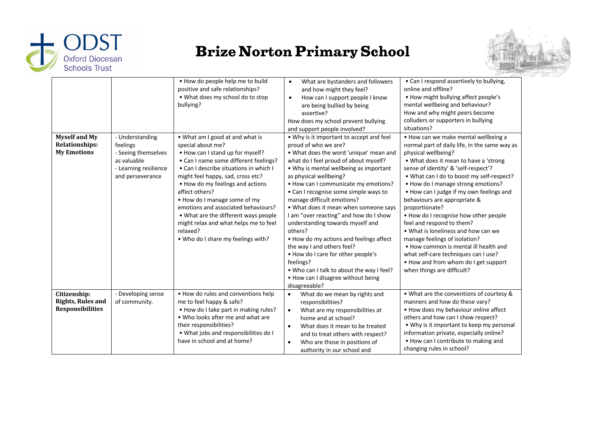



| <b>Myself and My</b><br><b>Relationships:</b><br><b>My Emotions</b> | - Understanding<br>feelings<br>- Seeing themselves<br>as valuable<br>- Learning resilience<br>and perseverance | . How do people help me to build<br>positive and safe relationships?<br>. What does my school do to stop<br>bullying?<br>. What am I good at and what is<br>special about me?<br>• How can I stand up for myself?<br>• Can I name some different feelings?<br>• Can I describe situations in which I<br>might feel happy, sad, cross etc?<br>• How do my feelings and actions<br>affect others?<br>• How do I manage some of my<br>emotions and associated behaviours?<br>• What are the different ways people<br>might relax and what helps me to feel<br>relaxed?<br>. Who do I share my feelings with? | What are bystanders and followers<br>$\bullet$<br>and how might they feel?<br>How can I support people I know<br>$\bullet$<br>are being bullied by being<br>assertive?<br>How does my school prevent bullying<br>and support people involved?<br>• Why is it important to accept and feel<br>proud of who we are?<br>. What does the word 'unique' mean and<br>what do I feel proud of about myself?<br>• Why is mental wellbeing as important<br>as physical wellbeing?<br>• How can I communicate my emotions?<br>• Can I recognise some simple ways to<br>manage difficult emotions?<br>• What does it mean when someone says<br>I am "over reacting" and how do I show<br>understanding towards myself and<br>others?<br>• How do my actions and feelings affect<br>the way I and others feel?<br>. How do I care for other people's<br>feelings?<br>. Who can I talk to about the way I feel?<br>• How can I disagree without being<br>disagreeable? | • Can I respond assertively to bullying,<br>online and offline?<br>• How might bullying affect people's<br>mental wellbeing and behaviour?<br>How and why might peers become<br>colluders or supporters in bullying<br>situations?<br>. How can we make mental wellbeing a<br>normal part of daily life, in the same way as<br>physical wellbeing?<br>• What does it mean to have a 'strong<br>sense of identity' & 'self-respect'?<br>. What can I do to boost my self-respect?<br>• How do I manage strong emotions?<br>• How can I judge if my own feelings and<br>behaviours are appropriate &<br>proportionate?<br>. How do I recognise how other people<br>feel and respond to them?<br>• What is loneliness and how can we<br>manage feelings of isolation?<br>• How common is mental ill health and<br>what self-care techniques can I use?<br>. How and from whom do I get support<br>when things are difficult? |
|---------------------------------------------------------------------|----------------------------------------------------------------------------------------------------------------|-----------------------------------------------------------------------------------------------------------------------------------------------------------------------------------------------------------------------------------------------------------------------------------------------------------------------------------------------------------------------------------------------------------------------------------------------------------------------------------------------------------------------------------------------------------------------------------------------------------|-----------------------------------------------------------------------------------------------------------------------------------------------------------------------------------------------------------------------------------------------------------------------------------------------------------------------------------------------------------------------------------------------------------------------------------------------------------------------------------------------------------------------------------------------------------------------------------------------------------------------------------------------------------------------------------------------------------------------------------------------------------------------------------------------------------------------------------------------------------------------------------------------------------------------------------------------------------|---------------------------------------------------------------------------------------------------------------------------------------------------------------------------------------------------------------------------------------------------------------------------------------------------------------------------------------------------------------------------------------------------------------------------------------------------------------------------------------------------------------------------------------------------------------------------------------------------------------------------------------------------------------------------------------------------------------------------------------------------------------------------------------------------------------------------------------------------------------------------------------------------------------------------|
| Citizenship:<br><b>Rights, Rules and</b><br><b>Responsibilities</b> | - Developing sense<br>of community.                                                                            | . How do rules and conventions help<br>me to feel happy & safe?<br>• How do I take part in making rules?<br>. Who looks after me and what are<br>their responsibilities?<br>. What jobs and responsibilities do I<br>have in school and at home?                                                                                                                                                                                                                                                                                                                                                          | What do we mean by rights and<br>$\bullet$<br>responsibilities?<br>What are my responsibilities at<br>$\bullet$<br>home and at school?<br>What does it mean to be treated<br>$\bullet$<br>and to treat others with respect?<br>Who are those in positions of<br>$\bullet$<br>authority in our school and                                                                                                                                                                                                                                                                                                                                                                                                                                                                                                                                                                                                                                                  | • What are the conventions of courtesy &<br>manners and how do these vary?<br>. How does my behaviour online affect<br>others and how can I show respect?<br>• Why is it important to keep my personal<br>information private, especially online?<br>• How can I contribute to making and<br>changing rules in school?                                                                                                                                                                                                                                                                                                                                                                                                                                                                                                                                                                                                    |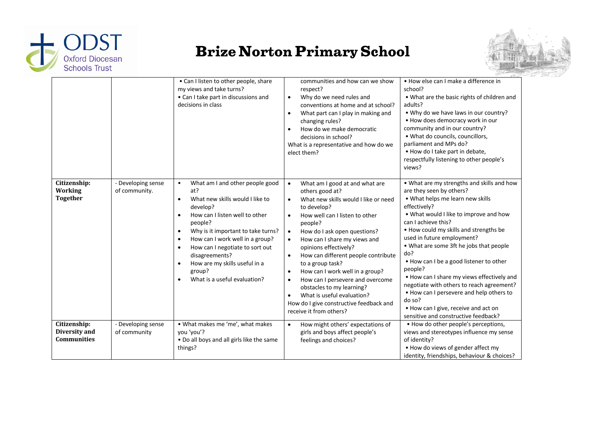



|                                                     |                                     | • Can I listen to other people, share<br>my views and take turns?<br>• Can I take part in discussions and<br>decisions in class                                                                                                                                                                                                                                                                                                        | communities and how can we show<br>respect?<br>Why do we need rules and<br>$\bullet$<br>conventions at home and at school?<br>What part can I play in making and<br>$\bullet$<br>changing rules?<br>How do we make democratic<br>$\bullet$<br>decisions in school?<br>What is a representative and how do we<br>elect them?                                                                                                                                                                                                                                                                                               | . How else can I make a difference in<br>school?<br>• What are the basic rights of children and<br>adults?<br>. Why do we have laws in our country?<br>• How does democracy work in our<br>community and in our country?<br>• What do councils, councillors,<br>parliament and MPs do?<br>. How do I take part in debate,<br>respectfully listening to other people's<br>views?                                                                                                                                                                                                                              |
|-----------------------------------------------------|-------------------------------------|----------------------------------------------------------------------------------------------------------------------------------------------------------------------------------------------------------------------------------------------------------------------------------------------------------------------------------------------------------------------------------------------------------------------------------------|---------------------------------------------------------------------------------------------------------------------------------------------------------------------------------------------------------------------------------------------------------------------------------------------------------------------------------------------------------------------------------------------------------------------------------------------------------------------------------------------------------------------------------------------------------------------------------------------------------------------------|--------------------------------------------------------------------------------------------------------------------------------------------------------------------------------------------------------------------------------------------------------------------------------------------------------------------------------------------------------------------------------------------------------------------------------------------------------------------------------------------------------------------------------------------------------------------------------------------------------------|
| Citizenship:<br>Working<br><b>Together</b>          | - Developing sense<br>of community. | What am I and other people good<br>$\bullet$<br>at?<br>What new skills would I like to<br>$\bullet$<br>develop?<br>How can I listen well to other<br>$\bullet$<br>people?<br>Why is it important to take turns?<br>$\bullet$<br>How can I work well in a group?<br>$\bullet$<br>How can I negotiate to sort out<br>$\bullet$<br>disagreements?<br>How are my skills useful in a<br>$\bullet$<br>group?<br>What is a useful evaluation? | What am I good at and what are<br>$\bullet$<br>others good at?<br>What new skills would I like or need<br>$\bullet$<br>to develop?<br>How well can I listen to other<br>people?<br>How do I ask open questions?<br>$\bullet$<br>How can I share my views and<br>$\bullet$<br>opinions effectively?<br>How can different people contribute<br>$\bullet$<br>to a group task?<br>How can I work well in a group?<br>$\bullet$<br>How can I persevere and overcome<br>$\bullet$<br>obstacles to my learning?<br>What is useful evaluation?<br>$\bullet$<br>How do I give constructive feedback and<br>receive it from others? | • What are my strengths and skills and how<br>are they seen by others?<br>. What helps me learn new skills<br>effectively?<br>. What would I like to improve and how<br>can I achieve this?<br>• How could my skills and strengths be<br>used in future employment?<br>• What are some 3ft he jobs that people<br>do?<br>. How can I be a good listener to other<br>people?<br>. How can I share my views effectively and<br>negotiate with others to reach agreement?<br>. How can I persevere and help others to<br>do so?<br>• How can I give, receive and act on<br>sensitive and constructive feedback? |
| Citizenship:<br>Diversity and<br><b>Communities</b> | - Developing sense<br>of community  | . What makes me 'me', what makes<br>you 'you'?<br>. Do all boys and all girls like the same<br>things?                                                                                                                                                                                                                                                                                                                                 | How might others' expectations of<br>$\bullet$<br>girls and boys affect people's<br>feelings and choices?                                                                                                                                                                                                                                                                                                                                                                                                                                                                                                                 | • How do other people's perceptions,<br>views and stereotypes influence my sense<br>of identity?<br>• How do views of gender affect my<br>identity, friendships, behaviour & choices?                                                                                                                                                                                                                                                                                                                                                                                                                        |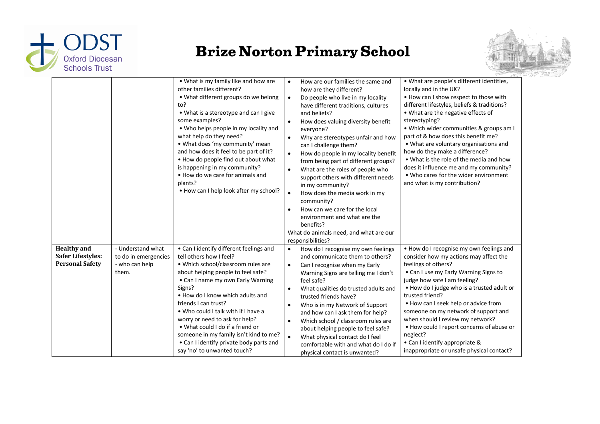



|                                                                          |                                                                      | • What is my family like and how are<br>other families different?<br>• What different groups do we belong<br>to?<br>• What is a stereotype and can I give<br>some examples?<br>• Who helps people in my locality and<br>what help do they need?<br>. What does 'my community' mean<br>and how does it feel to be part of it?<br>. How do people find out about what<br>is happening in my community?<br>• How do we care for animals and<br>plants?<br>• How can I help look after my school? | How are our families the same and<br>$\bullet$<br>how are they different?<br>Do people who live in my locality<br>$\bullet$<br>have different traditions, cultures<br>and beliefs?<br>How does valuing diversity benefit<br>$\bullet$<br>everyone?<br>Why are stereotypes unfair and how<br>$\bullet$<br>can I challenge them?<br>How do people in my locality benefit<br>$\bullet$<br>from being part of different groups?<br>What are the roles of people who<br>$\bullet$<br>support others with different needs<br>in my community?<br>$\bullet$<br>How does the media work in my<br>community?<br>How can we care for the local<br>$\bullet$<br>environment and what are the<br>benefits?<br>What do animals need, and what are our<br>responsibilities? | • What are people's different identities,<br>locally and in the UK?<br>. How can I show respect to those with<br>different lifestyles, beliefs & traditions?<br>• What are the negative effects of<br>stereotyping?<br>. Which wider communities & groups am I<br>part of & how does this benefit me?<br>• What are voluntary organisations and<br>how do they make a difference?<br>• What is the role of the media and how<br>does it influence me and my community?<br>• Who cares for the wider environment<br>and what is my contribution? |
|--------------------------------------------------------------------------|----------------------------------------------------------------------|-----------------------------------------------------------------------------------------------------------------------------------------------------------------------------------------------------------------------------------------------------------------------------------------------------------------------------------------------------------------------------------------------------------------------------------------------------------------------------------------------|---------------------------------------------------------------------------------------------------------------------------------------------------------------------------------------------------------------------------------------------------------------------------------------------------------------------------------------------------------------------------------------------------------------------------------------------------------------------------------------------------------------------------------------------------------------------------------------------------------------------------------------------------------------------------------------------------------------------------------------------------------------|-------------------------------------------------------------------------------------------------------------------------------------------------------------------------------------------------------------------------------------------------------------------------------------------------------------------------------------------------------------------------------------------------------------------------------------------------------------------------------------------------------------------------------------------------|
| <b>Healthy</b> and<br><b>Safer Lifestyles:</b><br><b>Personal Safety</b> | - Understand what<br>to do in emergencies<br>- who can help<br>them. | • Can I identify different feelings and<br>tell others how I feel?<br>• Which school/classroom rules are<br>about helping people to feel safe?<br>• Can I name my own Early Warning<br>Signs?<br>. How do I know which adults and<br>friends I can trust?<br>. Who could I talk with if I have a<br>worry or need to ask for help?<br>• What could I do if a friend or<br>someone in my family isn't kind to me?<br>• Can I identify private body parts and<br>say 'no' to unwanted touch?    | How do I recognise my own feelings<br>$\bullet$<br>and communicate them to others?<br>Can I recognise when my Early<br>$\bullet$<br>Warning Signs are telling me I don't<br>feel safe?<br>What qualities do trusted adults and<br>$\bullet$<br>trusted friends have?<br>Who is in my Network of Support<br>$\bullet$<br>and how can I ask them for help?<br>Which school / classroom rules are<br>$\bullet$<br>about helping people to feel safe?<br>$\bullet$<br>What physical contact do I feel<br>comfortable with and what do I do if<br>physical contact is unwanted?                                                                                                                                                                                    | . How do I recognise my own feelings and<br>consider how my actions may affect the<br>feelings of others?<br>• Can I use my Early Warning Signs to<br>judge how safe I am feeling?<br>. How do I judge who is a trusted adult or<br>trusted friend?<br>• How can I seek help or advice from<br>someone on my network of support and<br>when should I review my network?<br>• How could I report concerns of abuse or<br>neglect?<br>• Can I identify appropriate &<br>inappropriate or unsafe physical contact?                                 |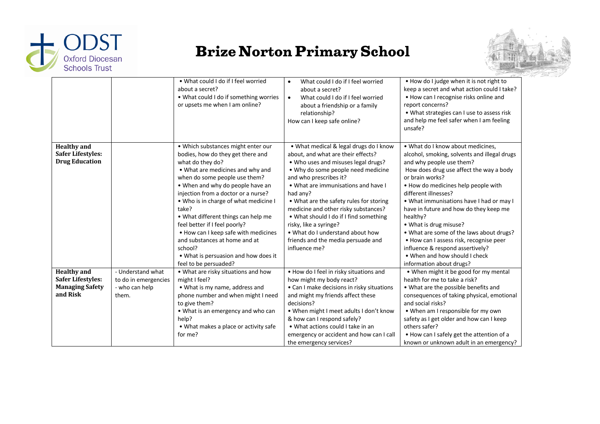



|                                                                                      |                                                                      | • What could I do if I feel worried<br>about a secret?<br>. What could I do if something worries<br>or upsets me when I am online?                                                                                                                                                                                                                                                                                                                                                                                         | What could I do if I feel worried<br>$\bullet$<br>about a secret?<br>What could I do if I feel worried<br>$\bullet$<br>about a friendship or a family<br>relationship?<br>How can I keep safe online?                                                                                                                                                                                                                                                                                    | . How do I judge when it is not right to<br>keep a secret and what action could I take?<br>• How can I recognise risks online and<br>report concerns?<br>• What strategies can I use to assess risk<br>and help me feel safer when I am feeling<br>unsafe?                                                                                                                                                                                                                                                                                                     |
|--------------------------------------------------------------------------------------|----------------------------------------------------------------------|----------------------------------------------------------------------------------------------------------------------------------------------------------------------------------------------------------------------------------------------------------------------------------------------------------------------------------------------------------------------------------------------------------------------------------------------------------------------------------------------------------------------------|------------------------------------------------------------------------------------------------------------------------------------------------------------------------------------------------------------------------------------------------------------------------------------------------------------------------------------------------------------------------------------------------------------------------------------------------------------------------------------------|----------------------------------------------------------------------------------------------------------------------------------------------------------------------------------------------------------------------------------------------------------------------------------------------------------------------------------------------------------------------------------------------------------------------------------------------------------------------------------------------------------------------------------------------------------------|
| <b>Healthy</b> and<br><b>Safer Lifestyles:</b><br><b>Drug Education</b>              |                                                                      | . Which substances might enter our<br>bodies, how do they get there and<br>what do they do?<br>• What are medicines and why and<br>when do some people use them?<br>• When and why do people have an<br>injection from a doctor or a nurse?<br>. Who is in charge of what medicine I<br>take?<br>• What different things can help me<br>feel better if I feel poorly?<br>• How can I keep safe with medicines<br>and substances at home and at<br>school?<br>. What is persuasion and how does it<br>feel to be persuaded? | • What medical & legal drugs do I know<br>about, and what are their effects?<br>. Who uses and misuses legal drugs?<br>• Why do some people need medicine<br>and who prescribes it?<br>• What are immunisations and have I<br>had any?<br>• What are the safety rules for storing<br>medicine and other risky substances?<br>• What should I do if I find something<br>risky, like a syringe?<br>• What do I understand about how<br>friends and the media persuade and<br>influence me? | . What do I know about medicines,<br>alcohol, smoking, solvents and illegal drugs<br>and why people use them?<br>How does drug use affect the way a body<br>or brain works?<br>. How do medicines help people with<br>different illnesses?<br>. What immunisations have I had or may I<br>have in future and how do they keep me<br>healthy?<br>• What is drug misuse?<br>• What are some of the laws about drugs?<br>• How can I assess risk, recognise peer<br>influence & respond assertively?<br>• When and how should I check<br>information about drugs? |
| <b>Healthy</b> and<br><b>Safer Lifestyles:</b><br><b>Managing Safety</b><br>and Risk | - Understand what<br>to do in emergencies<br>- who can help<br>them. | • What are risky situations and how<br>might I feel?<br>• What is my name, address and<br>phone number and when might I need<br>to give them?<br>• What is an emergency and who can<br>help?<br>• What makes a place or activity safe<br>for me?                                                                                                                                                                                                                                                                           | . How do I feel in risky situations and<br>how might my body react?<br>• Can I make decisions in risky situations<br>and might my friends affect these<br>decisions?<br>• When might I meet adults I don't know<br>& how can I respond safely?<br>• What actions could I take in an<br>emergency or accident and how can I call<br>the emergency services?                                                                                                                               | • When might it be good for my mental<br>health for me to take a risk?<br>• What are the possible benefits and<br>consequences of taking physical, emotional<br>and social risks?<br>• When am I responsible for my own<br>safety as I get older and how can I keep<br>others safer?<br>• How can I safely get the attention of a<br>known or unknown adult in an emergency?                                                                                                                                                                                   |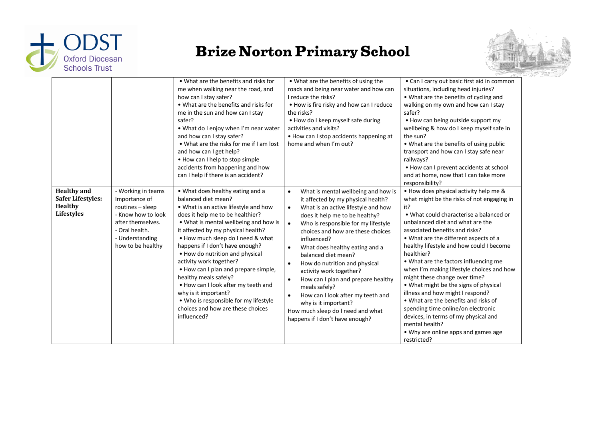



|                                                                                |                                                                                                                                                              | • What are the benefits and risks for<br>me when walking near the road, and<br>how can I stay safer?<br>• What are the benefits and risks for<br>me in the sun and how can I stay<br>safer?<br>. What do I enjoy when I'm near water<br>and how can I stay safer?<br>• What are the risks for me if I am lost<br>and how can I get help?<br>• How can I help to stop simple<br>accidents from happening and how<br>can I help if there is an accident?                                                                                                                                 | . What are the benefits of using the<br>roads and being near water and how can<br>I reduce the risks?<br>. How is fire risky and how can I reduce<br>the risks?<br>• How do I keep myself safe during<br>activities and visits?<br>• How can I stop accidents happening at<br>home and when I'm out?                                                                                                                                                                                                                                                                                                                                                      | • Can I carry out basic first aid in common<br>situations, including head injuries?<br>• What are the benefits of cycling and<br>walking on my own and how can I stay<br>safer?<br>• How can being outside support my<br>wellbeing & how do I keep myself safe in<br>the sun?<br>• What are the benefits of using public<br>transport and how can I stay safe near<br>railways?<br>• How can I prevent accidents at school<br>and at home, now that I can take more<br>responsibility?                                                                                                                                                                                                                            |
|--------------------------------------------------------------------------------|--------------------------------------------------------------------------------------------------------------------------------------------------------------|----------------------------------------------------------------------------------------------------------------------------------------------------------------------------------------------------------------------------------------------------------------------------------------------------------------------------------------------------------------------------------------------------------------------------------------------------------------------------------------------------------------------------------------------------------------------------------------|-----------------------------------------------------------------------------------------------------------------------------------------------------------------------------------------------------------------------------------------------------------------------------------------------------------------------------------------------------------------------------------------------------------------------------------------------------------------------------------------------------------------------------------------------------------------------------------------------------------------------------------------------------------|-------------------------------------------------------------------------------------------------------------------------------------------------------------------------------------------------------------------------------------------------------------------------------------------------------------------------------------------------------------------------------------------------------------------------------------------------------------------------------------------------------------------------------------------------------------------------------------------------------------------------------------------------------------------------------------------------------------------|
| <b>Healthy</b> and<br><b>Safer Lifestyles:</b><br><b>Healthy</b><br>Lifestyles | - Working in teams<br>Importance of<br>routines - sleep<br>- Know how to look<br>after themselves.<br>- Oral health.<br>- Understanding<br>how to be healthy | • What does healthy eating and a<br>balanced diet mean?<br>. What is an active lifestyle and how<br>does it help me to be healthier?<br>. What is mental wellbeing and how is<br>it affected by my physical health?<br>• How much sleep do I need & what<br>happens if I don't have enough?<br>• How do nutrition and physical<br>activity work together?<br>• How can I plan and prepare simple,<br>healthy meals safely?<br>. How can I look after my teeth and<br>why is it important?<br>. Who is responsible for my lifestyle<br>choices and how are these choices<br>influenced? | What is mental wellbeing and how is<br>$\bullet$<br>it affected by my physical health?<br>What is an active lifestyle and how<br>$\bullet$<br>does it help me to be healthy?<br>Who is responsible for my lifestyle<br>$\bullet$<br>choices and how are these choices<br>influenced?<br>What does healthy eating and a<br>$\bullet$<br>balanced diet mean?<br>How do nutrition and physical<br>$\bullet$<br>activity work together?<br>How can I plan and prepare healthy<br>$\bullet$<br>meals safely?<br>How can I look after my teeth and<br>$\bullet$<br>why is it important?<br>How much sleep do I need and what<br>happens if I don't have enough? | . How does physical activity help me &<br>what might be the risks of not engaging in<br>it?<br>• What could characterise a balanced or<br>unbalanced diet and what are the<br>associated benefits and risks?<br>• What are the different aspects of a<br>healthy lifestyle and how could I become<br>healthier?<br>• What are the factors influencing me<br>when I'm making lifestyle choices and how<br>might these change over time?<br>• What might be the signs of physical<br>illness and how might I respond?<br>. What are the benefits and risks of<br>spending time online/on electronic<br>devices, in terms of my physical and<br>mental health?<br>• Why are online apps and games age<br>restricted? |